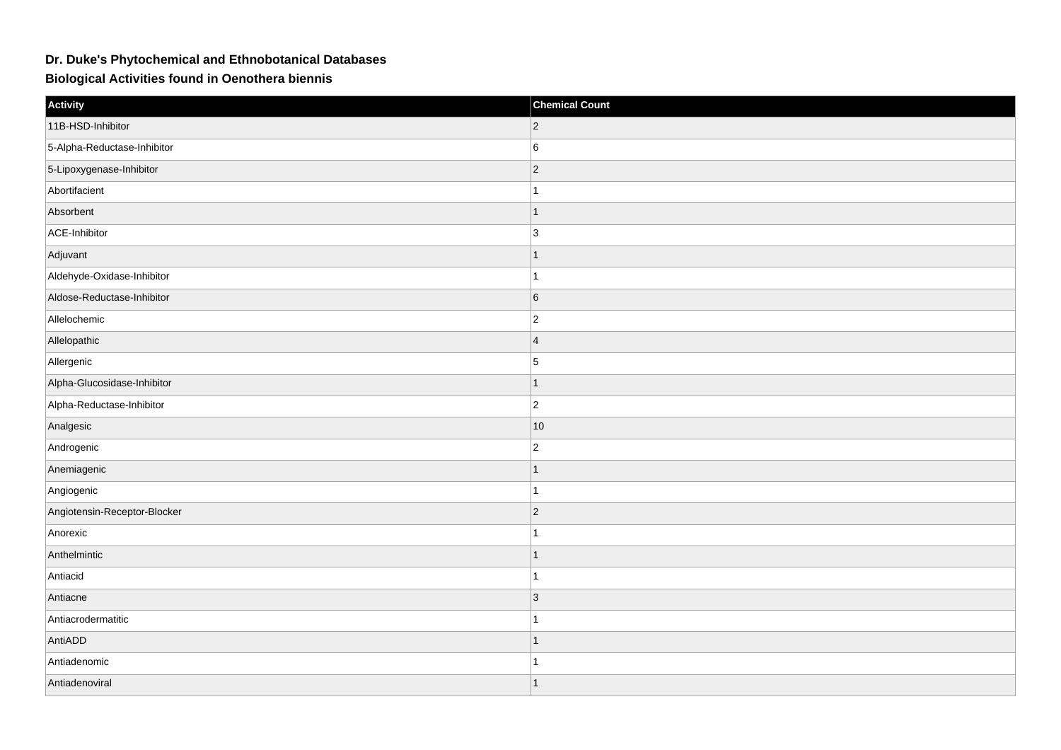## **Dr. Duke's Phytochemical and Ethnobotanical Databases**

**Biological Activities found in Oenothera biennis**

| Activity                     | <b>Chemical Count</b> |
|------------------------------|-----------------------|
| 11B-HSD-Inhibitor            | $ 2\rangle$           |
| 5-Alpha-Reductase-Inhibitor  | 6                     |
| 5-Lipoxygenase-Inhibitor     | $ 2\rangle$           |
| Abortifacient                | 1                     |
| Absorbent                    | 1                     |
| ACE-Inhibitor                | $\overline{3}$        |
| Adjuvant                     | 1                     |
| Aldehyde-Oxidase-Inhibitor   | 1                     |
| Aldose-Reductase-Inhibitor   | 6                     |
| Allelochemic                 | $ 2\rangle$           |
| Allelopathic                 | $\overline{4}$        |
| Allergenic                   | 5                     |
| Alpha-Glucosidase-Inhibitor  | 1                     |
| Alpha-Reductase-Inhibitor    | $ 2\rangle$           |
| Analgesic                    | 10                    |
| Androgenic                   | $ 2\rangle$           |
| Anemiagenic                  | $\mathbf{1}$          |
| Angiogenic                   | 1                     |
| Angiotensin-Receptor-Blocker | $ 2\rangle$           |
| Anorexic                     | 1                     |
| Anthelmintic                 | 1                     |
| Antiacid                     | 1                     |
| Antiacne                     | 3                     |
| Antiacrodermatitic           |                       |
| AntiADD                      | 1                     |
| Antiadenomic                 | 1                     |
| Antiadenoviral               | 1                     |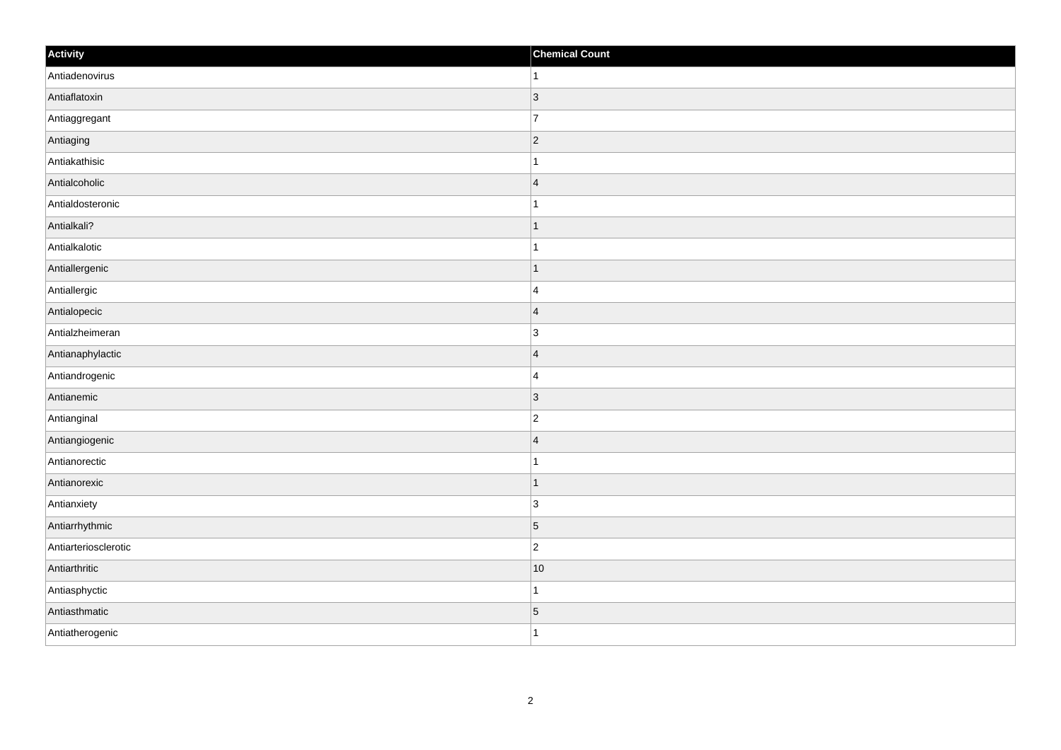| Activity             | <b>Chemical Count</b> |
|----------------------|-----------------------|
| Antiadenovirus       | $\vert$ 1             |
| Antiaflatoxin        | 3                     |
| Antiaggregant        | $\overline{7}$        |
| Antiaging            | $ 2\rangle$           |
| Antiakathisic        | $\mathbf{1}$          |
| Antialcoholic        | $\overline{4}$        |
| Antialdosteronic     | 1                     |
| Antialkali?          | $\mathbf 1$           |
| Antialkalotic        |                       |
| Antiallergenic       | $\mathbf{1}$          |
| Antiallergic         | $\overline{4}$        |
| Antialopecic         | $\overline{4}$        |
| Antialzheimeran      | $\overline{3}$        |
| Antianaphylactic     | $\overline{4}$        |
| Antiandrogenic       | $\overline{4}$        |
| Antianemic           | $ 3\rangle$           |
| Antianginal          | $\overline{c}$        |
| Antiangiogenic       | $\overline{4}$        |
| Antianorectic        | $\mathbf 1$           |
| Antianorexic         | $\vert$ 1             |
| Antianxiety          | ∣3                    |
| Antiarrhythmic       | $\vert$ 5             |
| Antiarteriosclerotic | $\overline{c}$        |
| Antiarthritic        | $ 10\rangle$          |
| Antiasphyctic        | $\mathbf{1}$          |
| Antiasthmatic        | $\vert 5 \vert$       |
| Antiatherogenic      | $\overline{1}$        |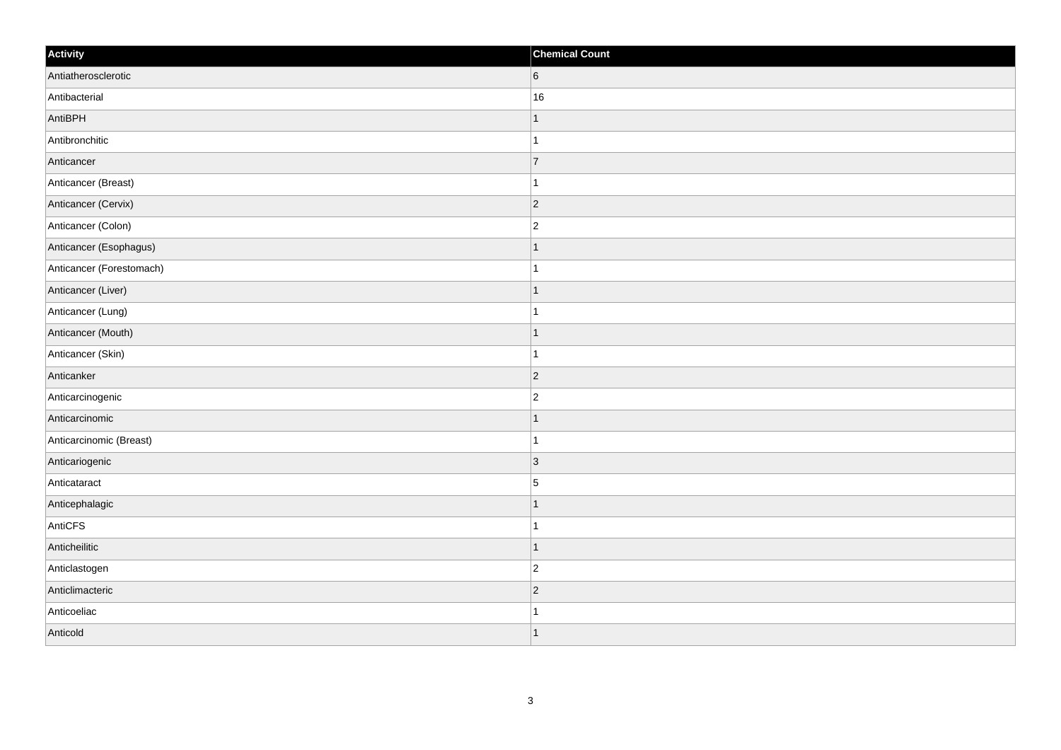| Activity                 | <b>Chemical Count</b>    |
|--------------------------|--------------------------|
| Antiatherosclerotic      | $6\phantom{.}$           |
| Antibacterial            | 16                       |
| AntiBPH                  |                          |
| Antibronchitic           |                          |
| Anticancer               | $\overline{7}$           |
| Anticancer (Breast)      |                          |
| Anticancer (Cervix)      | $ 2\rangle$              |
| Anticancer (Colon)       | $\overline{2}$           |
| Anticancer (Esophagus)   |                          |
| Anticancer (Forestomach) |                          |
| Anticancer (Liver)       |                          |
| Anticancer (Lung)        |                          |
| Anticancer (Mouth)       | $\overline{\phantom{a}}$ |
| Anticancer (Skin)        | 1                        |
| Anticanker               | 2                        |
| Anticarcinogenic         | $\overline{2}$           |
| Anticarcinomic           |                          |
| Anticarcinomic (Breast)  |                          |
| Anticariogenic           | $\vert$ 3                |
| Anticataract             | $\overline{5}$           |
| Anticephalagic           |                          |
| AntiCFS                  |                          |
| Anticheilitic            | -1                       |
| Anticlastogen            | $\overline{c}$           |
| Anticlimacteric          | $\vert$ 2                |
| Anticoeliac              |                          |
| Anticold                 |                          |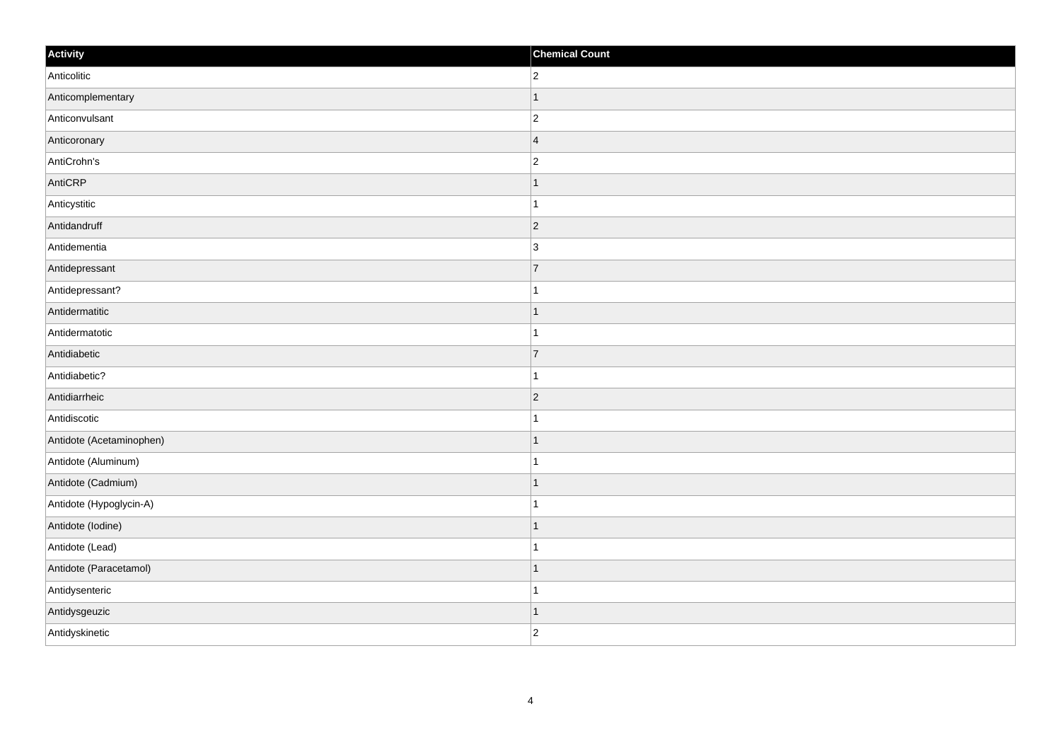| Activity                 | <b>Chemical Count</b> |
|--------------------------|-----------------------|
| Anticolitic              | $\overline{2}$        |
| Anticomplementary        |                       |
| Anticonvulsant           | $\overline{c}$        |
| Anticoronary             | $\overline{4}$        |
| AntiCrohn's              | $\overline{c}$        |
| AntiCRP                  |                       |
| Anticystitic             | 1                     |
| Antidandruff             | $\overline{2}$        |
| Antidementia             | $\overline{3}$        |
| Antidepressant           | 7                     |
| Antidepressant?          | $\mathbf 1$           |
| Antidermatitic           | $\mathbf 1$           |
| Antidermatotic           | 1                     |
| Antidiabetic             | $\overline{7}$        |
| Antidiabetic?            |                       |
| Antidiarrheic            | $ 2\rangle$           |
| Antidiscotic             | 1                     |
| Antidote (Acetaminophen) | $\mathbf 1$           |
| Antidote (Aluminum)      | 1                     |
| Antidote (Cadmium)       | 1                     |
| Antidote (Hypoglycin-A)  | 1                     |
| Antidote (lodine)        | $\mathbf{1}$          |
| Antidote (Lead)          | 1                     |
| Antidote (Paracetamol)   | $\overline{1}$        |
| Antidysenteric           | $\mathbf 1$           |
| Antidysgeuzic            | 1                     |
| Antidyskinetic           | $\overline{c}$        |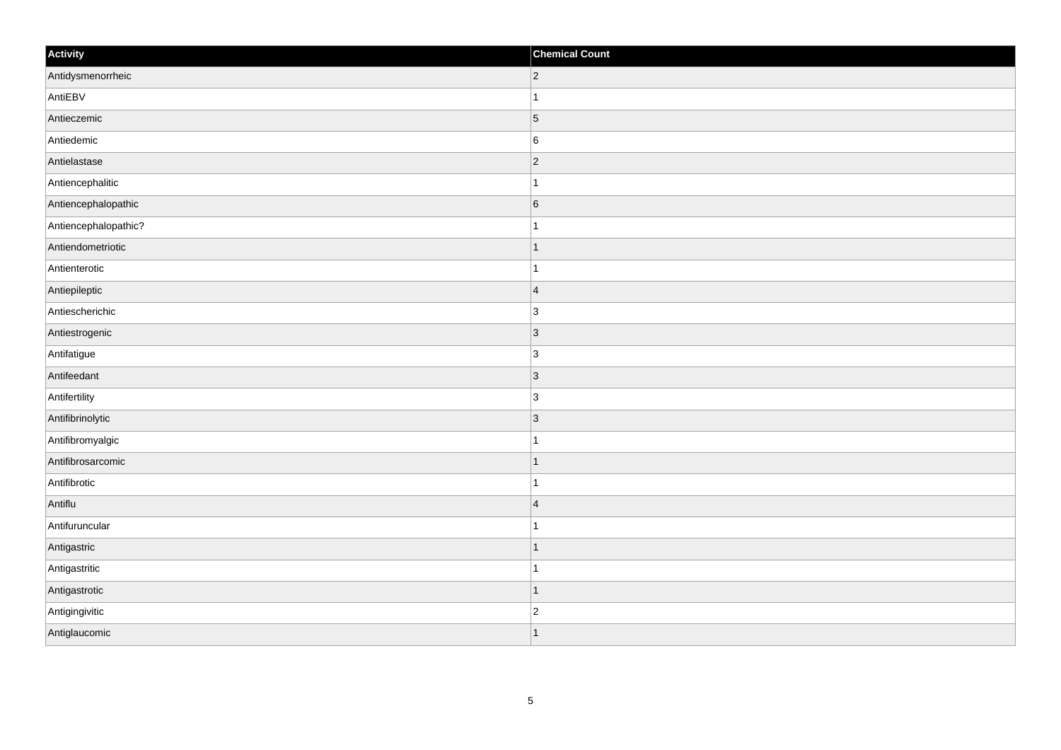| Activity             | <b>Chemical Count</b>    |
|----------------------|--------------------------|
| Antidysmenorrheic    | $ 2\rangle$              |
| AntiEBV              |                          |
| Antieczemic          | $\overline{5}$           |
| Antiedemic           | $6\phantom{.}6$          |
| Antielastase         | $\overline{2}$           |
| Antiencephalitic     |                          |
| Antiencephalopathic  | $6\overline{6}$          |
| Antiencephalopathic? | 1                        |
| Antiendometriotic    |                          |
| Antienterotic        |                          |
| Antiepileptic        | $\overline{4}$           |
| Antiescherichic      | $\overline{3}$           |
| Antiestrogenic       | $\vert$ 3                |
| Antifatigue          | $\overline{3}$           |
| Antifeedant          | $\vert 3 \vert$          |
| Antifertility        | $\overline{3}$           |
| Antifibrinolytic     | $\vert$ 3                |
| Antifibromyalgic     |                          |
| Antifibrosarcomic    | $\mathbf{1}$             |
| Antifibrotic         | -1                       |
| Antiflu              | $\vert$ 4                |
| Antifuruncular       |                          |
| Antigastric          | 1                        |
| Antigastritic        |                          |
| Antigastrotic        | 1                        |
| Antigingivitic       | $\overline{2}$           |
| Antiglaucomic        | $\overline{\phantom{a}}$ |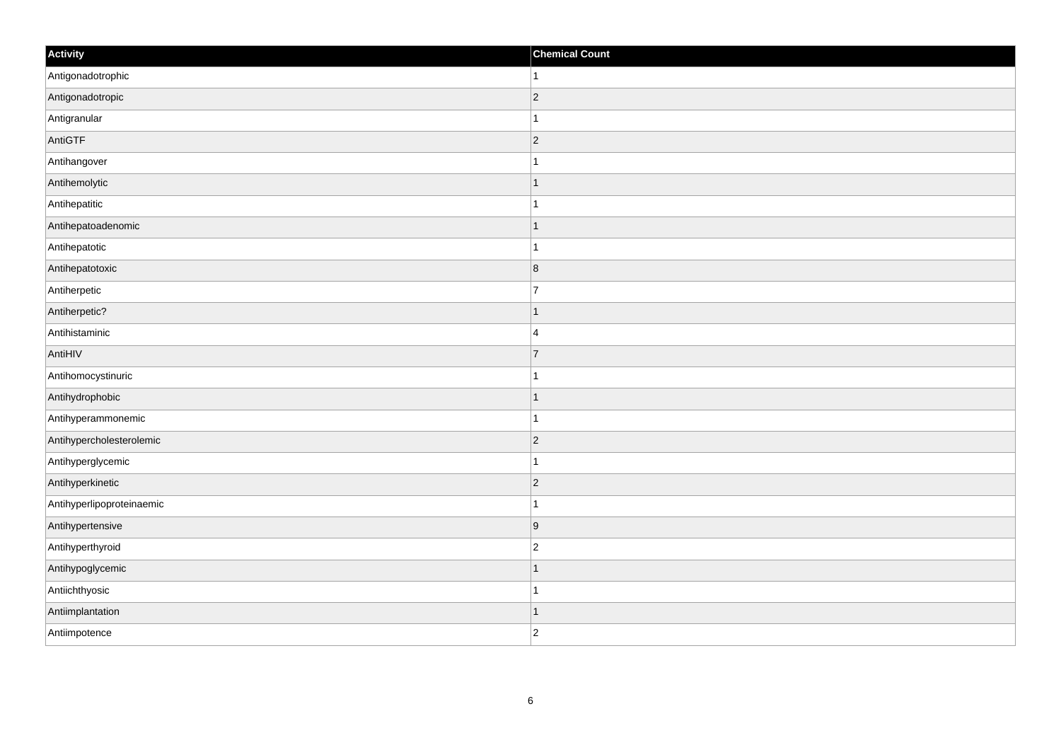| Activity                  | <b>Chemical Count</b> |
|---------------------------|-----------------------|
| Antigonadotrophic         | $\mathbf{1}$          |
| Antigonadotropic          | $\overline{c}$        |
| Antigranular              | 1                     |
| AntiGTF                   | $ 2\rangle$           |
| Antihangover              | $\mathbf 1$           |
| Antihemolytic             |                       |
| Antihepatitic             | 1                     |
| Antihepatoadenomic        |                       |
| Antihepatotic             |                       |
| Antihepatotoxic           | 8                     |
| Antiherpetic              | $\overline{7}$        |
| Antiherpetic?             |                       |
| Antihistaminic            | $\overline{4}$        |
| AntiHIV                   | $\overline{7}$        |
| Antihomocystinuric        |                       |
| Antihydrophobic           | $\mathbf{1}$          |
| Antihyperammonemic        | $\mathbf 1$           |
| Antihypercholesterolemic  | $ 2\rangle$           |
| Antihyperglycemic         | $\mathbf{1}$          |
| Antihyperkinetic          | $\overline{2}$        |
| Antihyperlipoproteinaemic | 1                     |
| Antihypertensive          | 9                     |
| Antihyperthyroid          | $\overline{c}$        |
| Antihypoglycemic          | -1                    |
| Antiichthyosic            | $\overline{1}$        |
| Antiimplantation          | $\mathbf 1$           |
| Antiimpotence             | $\overline{2}$        |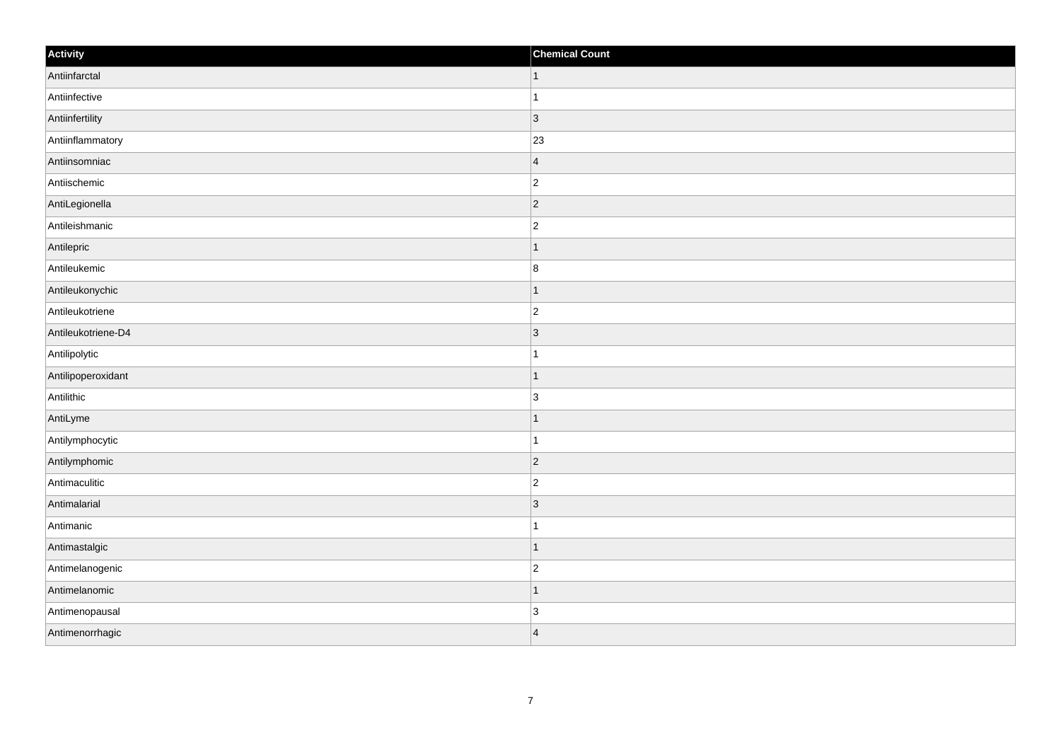| Activity           | <b>Chemical Count</b> |
|--------------------|-----------------------|
| Antiinfarctal      | $\vert$ 1             |
| Antiinfective      | $\mathbf{1}$          |
| Antiinfertility    | 3                     |
| Antiinflammatory   | 23                    |
| Antiinsomniac      | $\overline{4}$        |
| Antiischemic       | $ 2\rangle$           |
| AntiLegionella     | $ 2\rangle$           |
| Antileishmanic     | $\overline{c}$        |
| Antilepric         | $\mathbf 1$           |
| Antileukemic       | 8                     |
| Antileukonychic    | 1                     |
| Antileukotriene    | $ 2\rangle$           |
| Antileukotriene-D4 | 3                     |
| Antilipolytic      | $\mathbf 1$           |
| Antilipoperoxidant | $\overline{1}$        |
| Antilithic         | $\overline{3}$        |
| AntiLyme           | $\mathbf 1$           |
| Antilymphocytic    | $\mathbf 1$           |
| Antilymphomic      | 2                     |
| Antimaculitic      | $\overline{c}$        |
| Antimalarial       | 3                     |
| Antimanic          | $\mathbf{1}$          |
| Antimastalgic      | $\vert$ 1             |
| Antimelanogenic    | $\overline{c}$        |
| Antimelanomic      | $\mathbf{1}$          |
| Antimenopausal     | $\overline{3}$        |
| Antimenorrhagic    | $\overline{4}$        |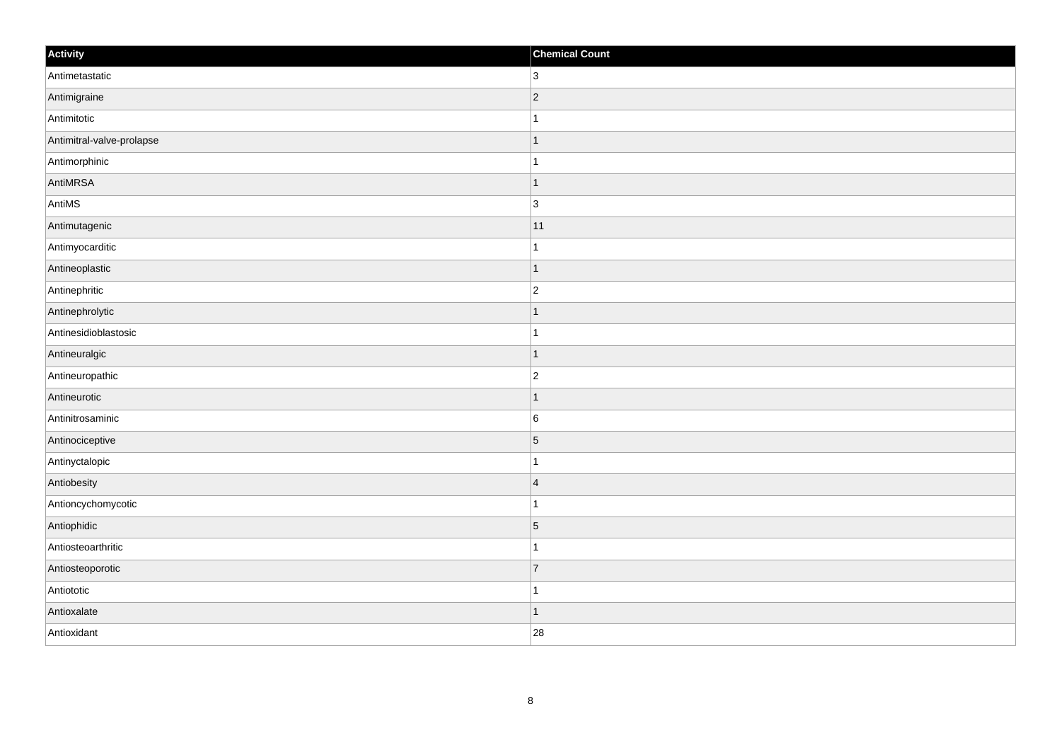| Activity                  | <b>Chemical Count</b> |
|---------------------------|-----------------------|
| Antimetastatic            | 3 <sup>1</sup>        |
| Antimigraine              | $ 2\rangle$           |
| Antimitotic               | 1                     |
| Antimitral-valve-prolapse | $\vert$ 1             |
| Antimorphinic             | $\mathbf{1}$          |
| AntiMRSA                  | $\mathbf 1$           |
| AntiMS                    | 3                     |
| Antimutagenic             | 11                    |
| Antimyocarditic           |                       |
| Antineoplastic            | $\overline{1}$        |
| Antinephritic             | $\overline{c}$        |
| Antinephrolytic           |                       |
| Antinesidioblastosic      | $\mathbf{1}$          |
| Antineuralgic             | $\mathbf 1$           |
| Antineuropathic           | $\overline{2}$        |
| Antineurotic              | $\vert$ 1             |
| Antinitrosaminic          | 6                     |
| Antinociceptive           | $\vert 5 \vert$       |
| Antinyctalopic            | $\mathbf 1$           |
| Antiobesity               | $\overline{4}$        |
| Antioncychomycotic        | $\mathbf{1}$          |
| Antiophidic               | $\vert 5 \vert$       |
| Antiosteoarthritic        | 1                     |
| Antiosteoporotic          | $\overline{7}$        |
| Antiototic                | $\overline{1}$        |
| Antioxalate               | $\vert$ 1             |
| Antioxidant               | 28                    |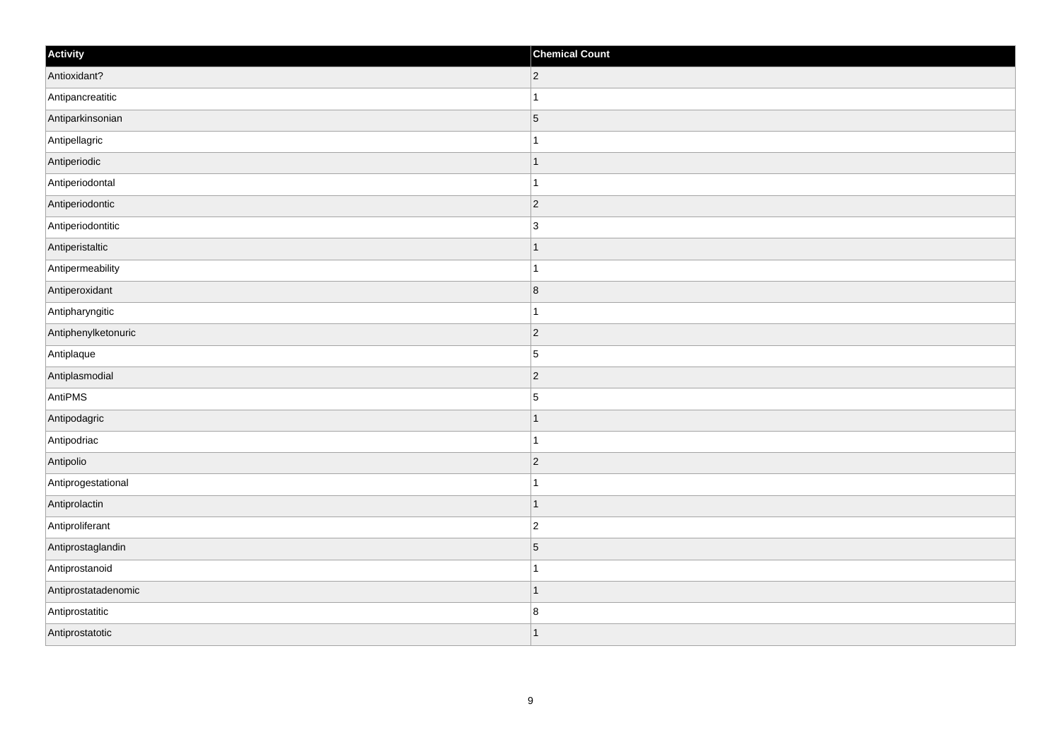| Activity            | <b>Chemical Count</b>   |
|---------------------|-------------------------|
| Antioxidant?        | $ 2\rangle$             |
| Antipancreatitic    | $\mathbf{1}$            |
| Antiparkinsonian    | $\overline{5}$          |
| Antipellagric       | $\mathbf{1}$            |
| Antiperiodic        | $\mathbf{1}$            |
| Antiperiodontal     | $\mathbf{1}$            |
| Antiperiodontic     | $ 2\rangle$             |
| Antiperiodontitic   | 3                       |
| Antiperistaltic     | $\mathbf{1}$            |
| Antipermeability    | $\mathbf{1}$            |
| Antiperoxidant      | $\overline{\mathbf{8}}$ |
| Antipharyngitic     | $\mathbf{1}$            |
| Antiphenylketonuric | $ 2\rangle$             |
| Antiplaque          | $\overline{5}$          |
| Antiplasmodial      | $ 2\rangle$             |
| AntiPMS             | $\overline{5}$          |
| Antipodagric        | $\mathbf{1}$            |
| Antipodriac         | $\mathbf{1}$            |
| Antipolio           | $ 2\rangle$             |
| Antiprogestational  | $\mathbf{1}$            |
| Antiprolactin       | $\vert$ 1               |
| Antiproliferant     | $\vert$ 2               |
| Antiprostaglandin   | $\overline{5}$          |
| Antiprostanoid      | $\mathbf{1}$            |
| Antiprostatadenomic | $\vert$ 1               |
| Antiprostatitic     | 8                       |
| Antiprostatotic     | $\mathbf{1}$            |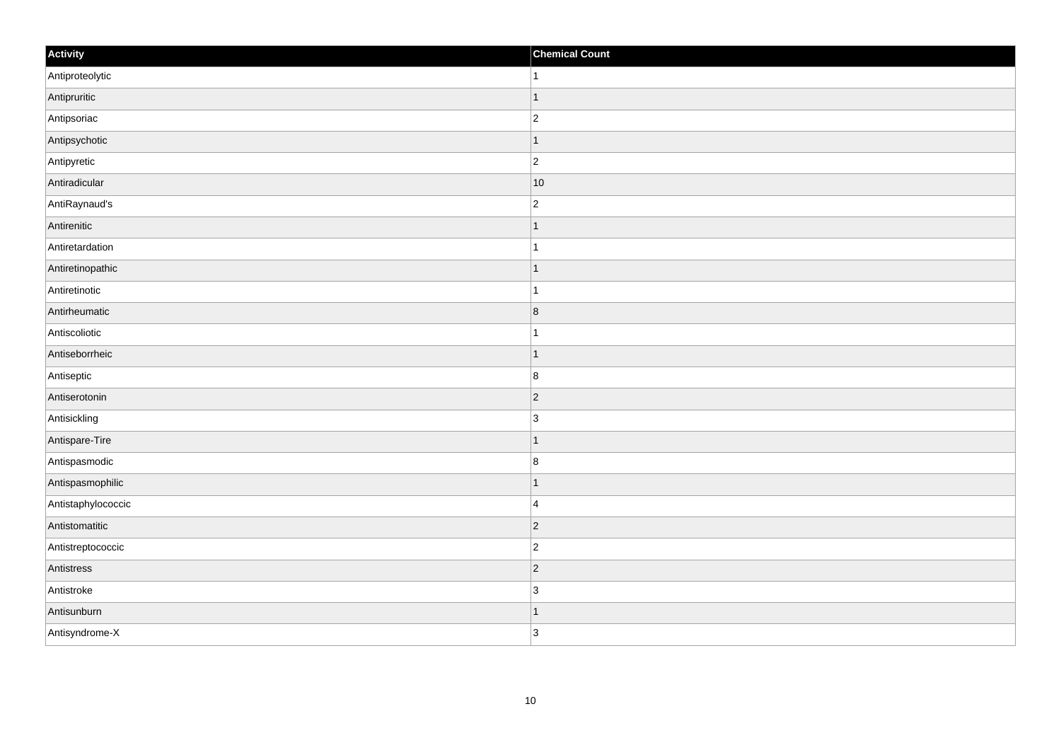| Activity           | <b>Chemical Count</b> |
|--------------------|-----------------------|
| Antiproteolytic    | $\vert$ 1             |
| Antipruritic       | $\mathbf{1}$          |
| Antipsoriac        | $\overline{c}$        |
| Antipsychotic      | $\vert$ 1             |
| Antipyretic        | $\overline{c}$        |
| Antiradicular      | $ 10\rangle$          |
| AntiRaynaud's      | $\overline{c}$        |
| Antirenitic        | $\mathbf 1$           |
| Antiretardation    |                       |
| Antiretinopathic   | $\vert$ 1             |
| Antiretinotic      | $\mathbf{1}$          |
| Antirheumatic      | 8                     |
| Antiscoliotic      | $\mathbf{1}$          |
| Antiseborrheic     | $\mathbf 1$           |
| Antiseptic         | 8                     |
| Antiserotonin      | $ 2\rangle$           |
| Antisickling       | $\overline{3}$        |
| Antispare-Tire     | 1                     |
| Antispasmodic      | 8                     |
| Antispasmophilic   | 1                     |
| Antistaphylococcic | $\overline{4}$        |
| Antistomatitic     | $ 2\rangle$           |
| Antistreptococcic  | $\overline{c}$        |
| Antistress         | $ 2\rangle$           |
| Antistroke         | $\overline{3}$        |
| Antisunburn        | $\vert$ 1             |
| Antisyndrome-X     | 3                     |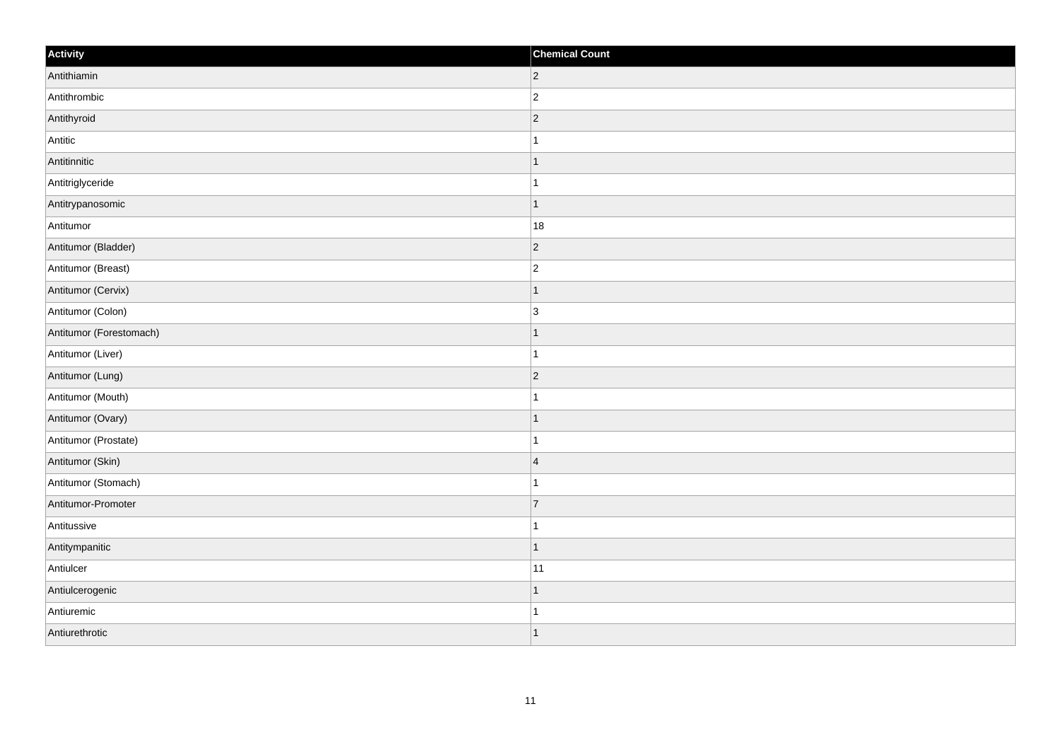| Activity                | <b>Chemical Count</b> |
|-------------------------|-----------------------|
| Antithiamin             | $ 2\rangle$           |
| Antithrombic            | $\overline{c}$        |
| Antithyroid             | $ 2\rangle$           |
| Antitic                 | 1                     |
| Antitinnitic            | $\mathbf 1$           |
| Antitriglyceride        |                       |
| Antitrypanosomic        | $\overline{1}$        |
| Antitumor               | 18                    |
| Antitumor (Bladder)     | $ 2\rangle$           |
| Antitumor (Breast)      | $\overline{2}$        |
| Antitumor (Cervix)      | 1                     |
| Antitumor (Colon)       | $\overline{3}$        |
| Antitumor (Forestomach) | $\vert$ 1             |
| Antitumor (Liver)       | $\mathbf{1}$          |
| Antitumor (Lung)        | $ 2\rangle$           |
| Antitumor (Mouth)       | $\mathbf{1}$          |
| Antitumor (Ovary)       | $\mathbf 1$           |
| Antitumor (Prostate)    | 1                     |
| Antitumor (Skin)        | $\overline{4}$        |
| Antitumor (Stomach)     | 1                     |
| Antitumor-Promoter      | $\overline{7}$        |
| Antitussive             | $\mathbf{1}$          |
| Antitympanitic          | $\vert$ 1             |
| Antiulcer               | 11                    |
| Antiulcerogenic         | $\mathbf 1$           |
| Antiuremic              | 1                     |
| Antiurethrotic          | $\mathbf{1}$          |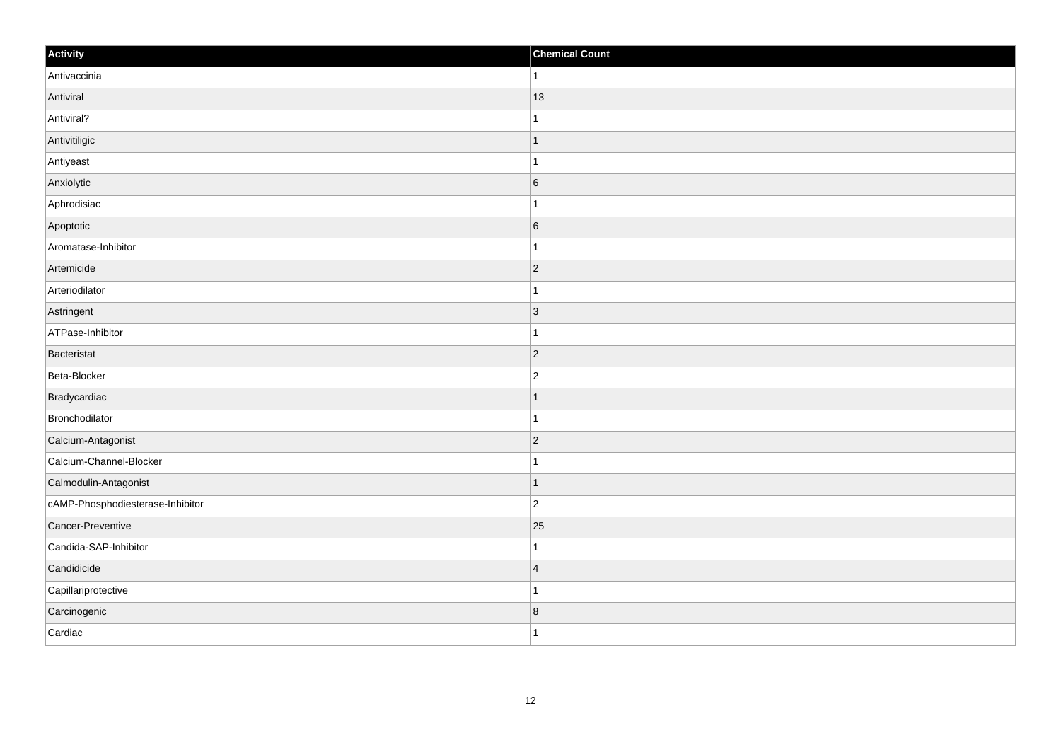| Activity                         | <b>Chemical Count</b>   |
|----------------------------------|-------------------------|
| Antivaccinia                     | $\mathbf{1}$            |
| Antiviral                        | 13                      |
| Antiviral?                       | 1                       |
| Antivitiligic                    | $\mathbf{1}$            |
| Antiyeast                        | $\mathbf{1}$            |
| Anxiolytic                       | $6\overline{6}$         |
| Aphrodisiac                      | $\mathbf{1}$            |
| Apoptotic                        | $6\overline{6}$         |
| Aromatase-Inhibitor              | -1                      |
| Artemicide                       | $ 2\rangle$             |
| Arteriodilator                   | 1                       |
| Astringent                       | $ 3\rangle$             |
| ATPase-Inhibitor                 | $\mathbf{1}$            |
| Bacteristat                      | $\overline{2}$          |
| Beta-Blocker                     | $\boldsymbol{2}$        |
| Bradycardiac                     | $\overline{1}$          |
| Bronchodilator                   | $\mathbf{1}$            |
| Calcium-Antagonist               | $\overline{2}$          |
| Calcium-Channel-Blocker          | $\mathbf{1}$            |
| Calmodulin-Antagonist            | $\mathbf{1}$            |
| cAMP-Phosphodiesterase-Inhibitor | $\overline{2}$          |
| Cancer-Preventive                | 25                      |
| Candida-SAP-Inhibitor            | $\mathbf{1}$            |
| Candidicide                      | $\overline{4}$          |
| Capillariprotective              | $\overline{1}$          |
| Carcinogenic                     | $\overline{\mathbf{8}}$ |
| Cardiac                          | $\mathbf{1}$            |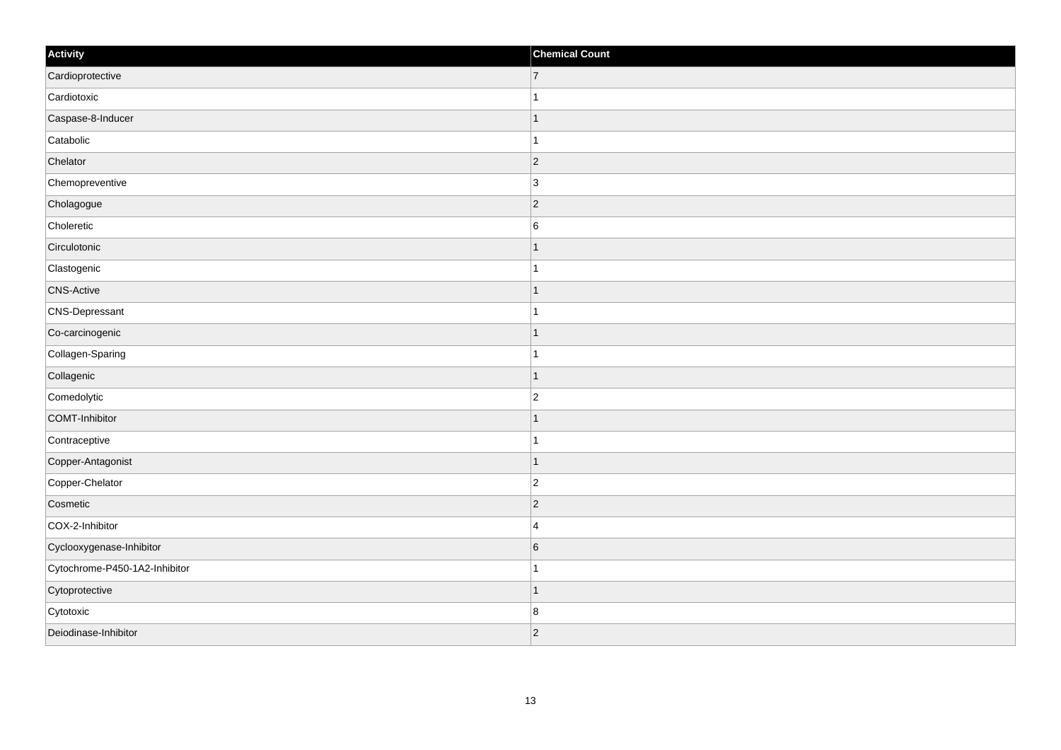| Activity                      | <b>Chemical Count</b> |
|-------------------------------|-----------------------|
| Cardioprotective              | $\overline{7}$        |
| Cardiotoxic                   | $\overline{1}$        |
| Caspase-8-Inducer             |                       |
| Catabolic                     | 1                     |
| Chelator                      | $\overline{c}$        |
| Chemopreventive               | $\overline{3}$        |
| Cholagogue                    | $ 2\rangle$           |
| Choleretic                    | $\,6$                 |
| Circulotonic                  |                       |
| Clastogenic                   | $\mathbf 1$           |
| <b>CNS-Active</b>             | 1                     |
| CNS-Depressant                |                       |
| Co-carcinogenic               | $\mathbf{1}$          |
| Collagen-Sparing              | $\mathbf{1}$          |
| Collagenic                    | $\mathbf 1$           |
| Comedolytic                   | $\overline{2}$        |
| COMT-Inhibitor                |                       |
| Contraceptive                 |                       |
| Copper-Antagonist             | $\mathbf{1}$          |
| Copper-Chelator               | $\overline{c}$        |
| Cosmetic                      | $ 2\rangle$           |
| COX-2-Inhibitor               | $\overline{4}$        |
| Cyclooxygenase-Inhibitor      | $6\phantom{.}6$       |
| Cytochrome-P450-1A2-Inhibitor | 1                     |
| Cytoprotective                | $\mathbf{1}$          |
| Cytotoxic                     | $\bf 8$               |
| Deiodinase-Inhibitor          | $\overline{c}$        |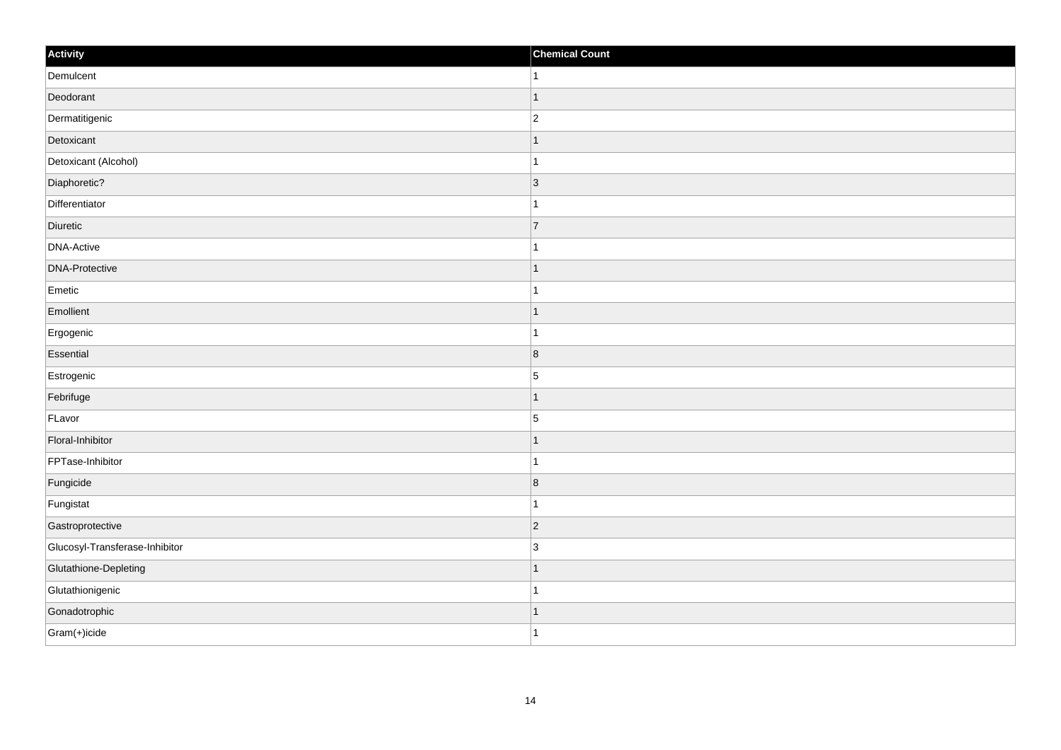| Activity                       | <b>Chemical Count</b>    |
|--------------------------------|--------------------------|
| Demulcent                      | $\overline{1}$           |
| Deodorant                      | $\overline{1}$           |
| Dermatitigenic                 | $\overline{c}$           |
| Detoxicant                     | 1                        |
| Detoxicant (Alcohol)           | 1                        |
| Diaphoretic?                   | $\vert$ 3                |
| Differentiator                 |                          |
| Diuretic                       | $\overline{7}$           |
| <b>DNA-Active</b>              |                          |
| <b>DNA-Protective</b>          | -1                       |
| Emetic                         | 1                        |
| Emollient                      |                          |
| Ergogenic                      |                          |
| Essential                      | $\overline{8}$           |
| Estrogenic                     | $\sqrt{5}$               |
| Febrifuge                      | -1                       |
| FLavor                         | $\overline{5}$           |
| Floral-Inhibitor               |                          |
| FPTase-Inhibitor               |                          |
| Fungicide                      | $\overline{8}$           |
| Fungistat                      |                          |
| Gastroprotective               | $\vert$ 2                |
| Glucosyl-Transferase-Inhibitor | 3                        |
| Glutathione-Depleting          | $\overline{\phantom{a}}$ |
| Glutathionigenic               | 1                        |
| Gonadotrophic                  | -1                       |
| Gram(+)icide                   | $\overline{1}$           |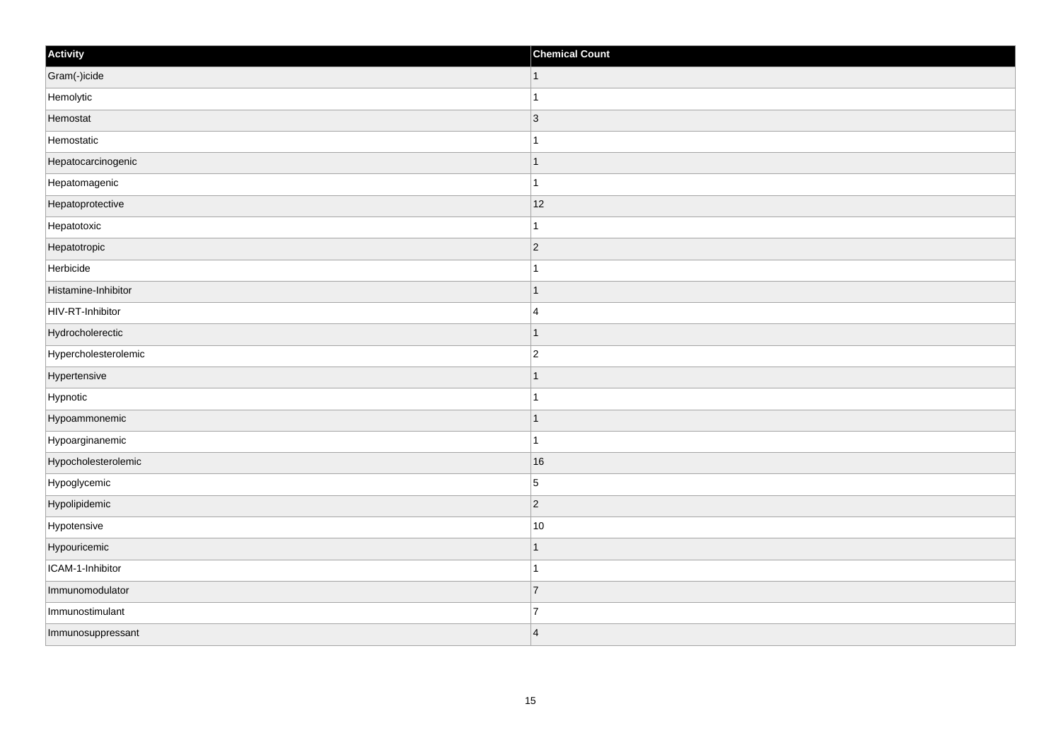| Activity             | <b>Chemical Count</b> |
|----------------------|-----------------------|
| Gram(-)icide         | $\vert$ 1             |
| Hemolytic            |                       |
| Hemostat             | $\vert 3 \vert$       |
| Hemostatic           |                       |
| Hepatocarcinogenic   |                       |
| Hepatomagenic        |                       |
| Hepatoprotective     | 12                    |
| Hepatotoxic          | 1                     |
| Hepatotropic         | $\vert$ 2             |
| Herbicide            |                       |
| Histamine-Inhibitor  |                       |
| HIV-RT-Inhibitor     | $\overline{4}$        |
| Hydrocholerectic     | -1                    |
| Hypercholesterolemic | $\overline{2}$        |
| Hypertensive         |                       |
| Hypnotic             |                       |
| Hypoammonemic        |                       |
| Hypoarginanemic      | -1                    |
| Hypocholesterolemic  | 16                    |
| Hypoglycemic         | $\overline{5}$        |
| Hypolipidemic        | $\vert$ 2             |
| Hypotensive          | 10                    |
| Hypouricemic         |                       |
| ICAM-1-Inhibitor     |                       |
| Immunomodulator      | 7                     |
| Immunostimulant      | $\overline{7}$        |
| Immunosuppressant    | $\overline{4}$        |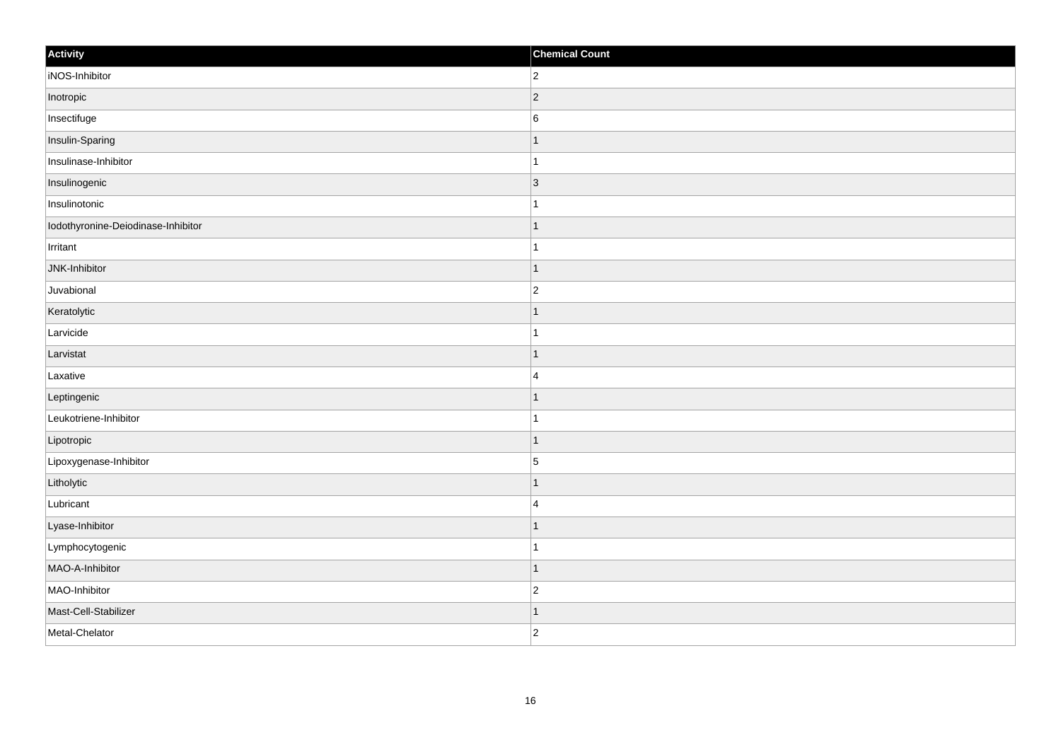| Activity                           | <b>Chemical Count</b>    |
|------------------------------------|--------------------------|
| iNOS-Inhibitor                     | $\overline{2}$           |
| Inotropic                          | $\vert$ 2                |
| Insectifuge                        | $6\phantom{.}6$          |
| Insulin-Sparing                    | 1                        |
| Insulinase-Inhibitor               | 1                        |
| Insulinogenic                      | $\vert$ 3                |
| Insulinotonic                      |                          |
| Iodothyronine-Deiodinase-Inhibitor | $\overline{\phantom{a}}$ |
| Irritant                           |                          |
| JNK-Inhibitor                      | -1                       |
| Juvabional                         | $\overline{2}$           |
| Keratolytic                        |                          |
| Larvicide                          |                          |
| Larvistat                          |                          |
| Laxative                           | $\overline{4}$           |
| Leptingenic                        | 1                        |
| Leukotriene-Inhibitor              | 1                        |
| Lipotropic                         | $\overline{\phantom{a}}$ |
| Lipoxygenase-Inhibitor             | $\overline{5}$           |
| Litholytic                         |                          |
| Lubricant                          | $\overline{4}$           |
| Lyase-Inhibitor                    | $\overline{\phantom{a}}$ |
| Lymphocytogenic                    | -1                       |
| MAO-A-Inhibitor                    | $\overline{\phantom{a}}$ |
| MAO-Inhibitor                      | $\overline{c}$           |
| Mast-Cell-Stabilizer               | -1                       |
| Metal-Chelator                     | $\overline{2}$           |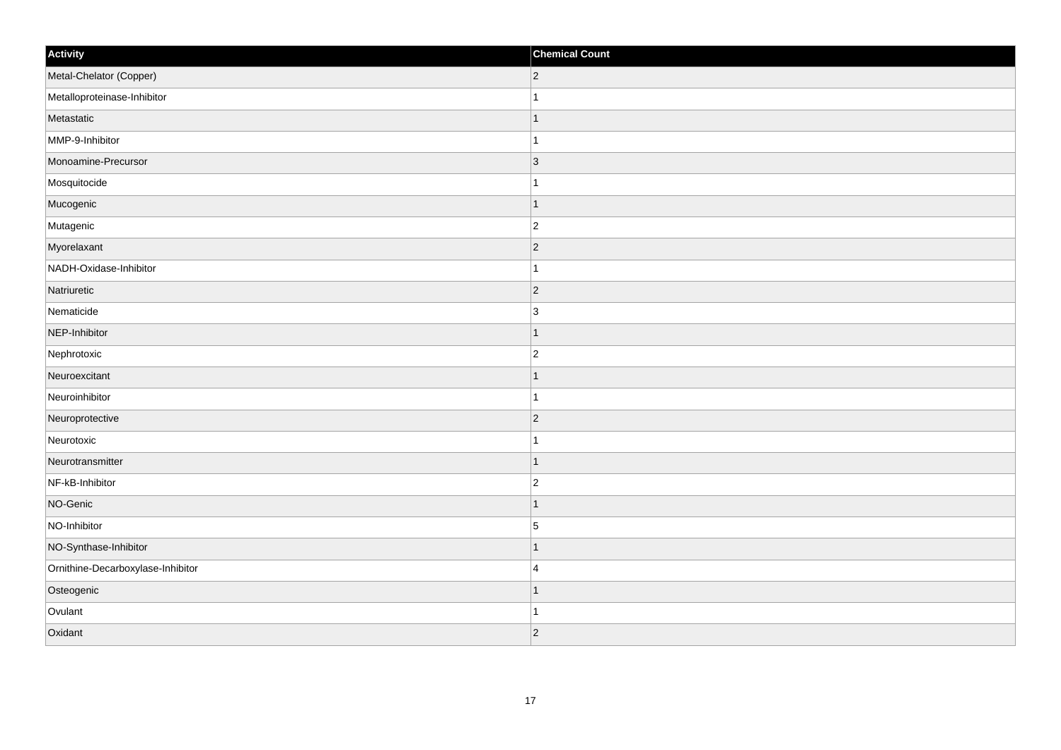| Activity                          | <b>Chemical Count</b> |
|-----------------------------------|-----------------------|
| Metal-Chelator (Copper)           | $\overline{2}$        |
| Metalloproteinase-Inhibitor       |                       |
| Metastatic                        |                       |
| MMP-9-Inhibitor                   | $\mathbf{1}$          |
| Monoamine-Precursor               | 3                     |
| Mosquitocide                      |                       |
| Mucogenic                         | $\mathbf 1$           |
| Mutagenic                         | $\overline{2}$        |
| Myorelaxant                       | $ 2\rangle$           |
| NADH-Oxidase-Inhibitor            | $\mathbf{1}$          |
| Natriuretic                       | $\overline{2}$        |
| Nematicide                        | 3                     |
| NEP-Inhibitor                     | $\mathbf 1$           |
| Nephrotoxic                       | $\overline{c}$        |
| Neuroexcitant                     |                       |
| Neuroinhibitor                    | 1                     |
| Neuroprotective                   | $\overline{2}$        |
| Neurotoxic                        |                       |
| Neurotransmitter                  | $\mathbf 1$           |
| NF-kB-Inhibitor                   | $\overline{c}$        |
| NO-Genic                          | 1                     |
| NO-Inhibitor                      | $\overline{5}$        |
| NO-Synthase-Inhibitor             | 1                     |
| Ornithine-Decarboxylase-Inhibitor | $\overline{4}$        |
| Osteogenic                        | $\mathbf 1$           |
| Ovulant                           | -1                    |
| Oxidant                           | $ 2\rangle$           |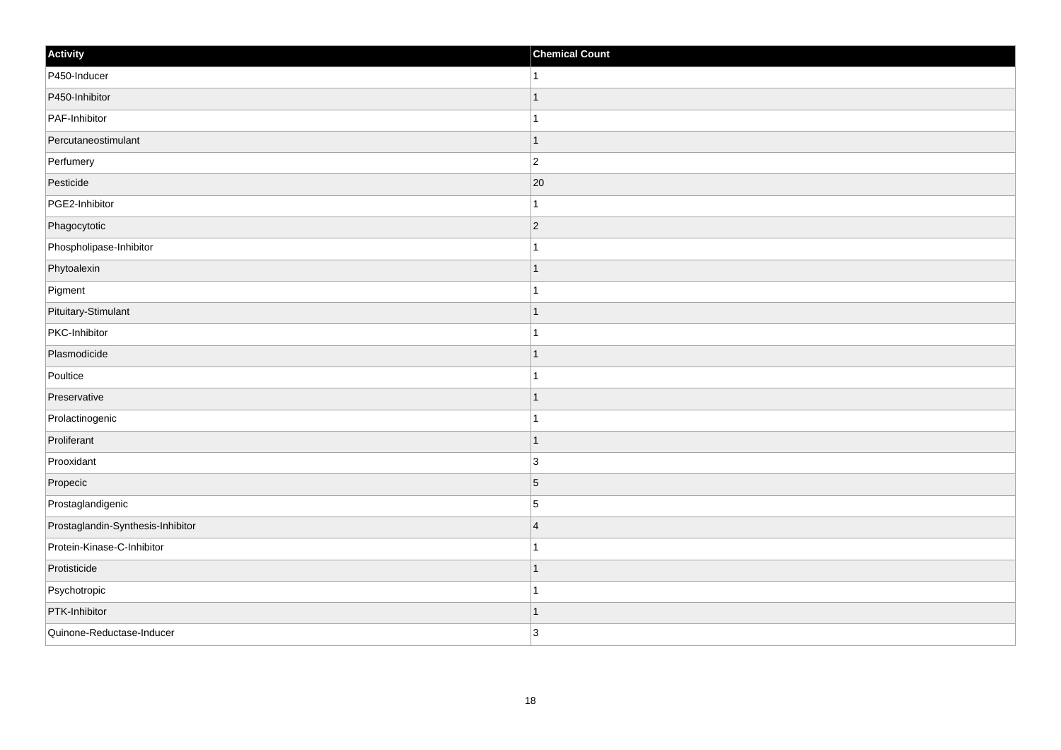| Activity                          | <b>Chemical Count</b> |
|-----------------------------------|-----------------------|
| P450-Inducer                      | $\mathbf{1}$          |
| P450-Inhibitor                    | $\overline{1}$        |
| PAF-Inhibitor                     |                       |
| Percutaneostimulant               | $\mathbf 1$           |
| Perfumery                         | $\overline{c}$        |
| Pesticide                         | 20                    |
| PGE2-Inhibitor                    | $\mathbf{1}$          |
| Phagocytotic                      | $\overline{2}$        |
| Phospholipase-Inhibitor           |                       |
| Phytoalexin                       | $\mathbf{1}$          |
| Pigment                           | $\mathbf{1}$          |
| Pituitary-Stimulant               | $\mathbf 1$           |
| PKC-Inhibitor                     | $\mathbf{1}$          |
| Plasmodicide                      | 1                     |
| Poultice                          |                       |
| Preservative                      | $\mathbf{1}$          |
| Prolactinogenic                   | $\mathbf{1}$          |
| Proliferant                       | $\overline{1}$        |
| Prooxidant                        | $\overline{3}$        |
| Propecic                          | $\overline{5}$        |
| Prostaglandigenic                 | $\overline{5}$        |
| Prostaglandin-Synthesis-Inhibitor | $\overline{4}$        |
| Protein-Kinase-C-Inhibitor        | $\mathbf 1$           |
| Protisticide                      | $\mathbf 1$           |
| Psychotropic                      | 1                     |
| PTK-Inhibitor                     | 1                     |
| Quinone-Reductase-Inducer         | 3                     |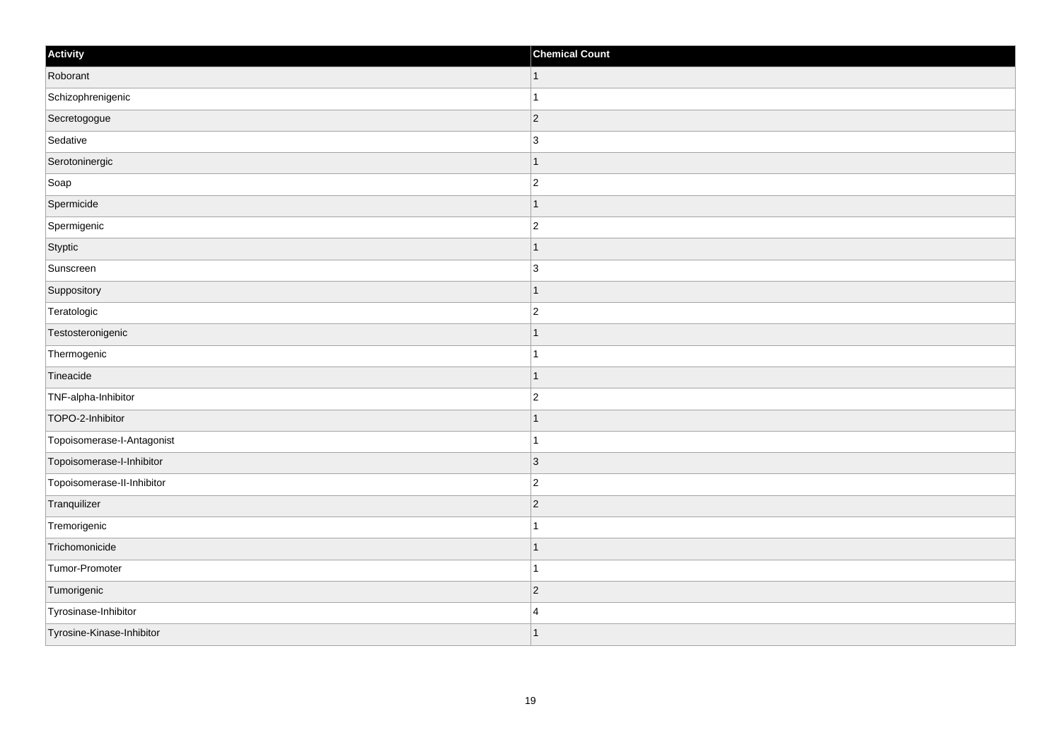| Activity                   | <b>Chemical Count</b> |
|----------------------------|-----------------------|
| Roborant                   | $\vert$ 1             |
| Schizophrenigenic          |                       |
| Secretogogue               | $\vert$ 2             |
| Sedative                   | 3                     |
| Serotoninergic             |                       |
| Soap                       | $\overline{c}$        |
| Spermicide                 | -1                    |
| Spermigenic                | $\overline{2}$        |
| Styptic                    |                       |
| Sunscreen                  | $\overline{3}$        |
| Suppository                |                       |
| Teratologic                | $\overline{2}$        |
| Testosteronigenic          | -1                    |
| Thermogenic                | -1                    |
| Tineacide                  |                       |
| TNF-alpha-Inhibitor        | $\overline{c}$        |
| TOPO-2-Inhibitor           |                       |
| Topoisomerase-I-Antagonist |                       |
| Topoisomerase-I-Inhibitor  | $\vert$ 3             |
| Topoisomerase-II-Inhibitor | $\overline{2}$        |
| Tranquilizer               | $\vert$ 2             |
| Tremorigenic               |                       |
| Trichomonicide             |                       |
| Tumor-Promoter             | 1                     |
| Tumorigenic                | $ 2\rangle$           |
| Tyrosinase-Inhibitor       | $\overline{4}$        |
| Tyrosine-Kinase-Inhibitor  |                       |